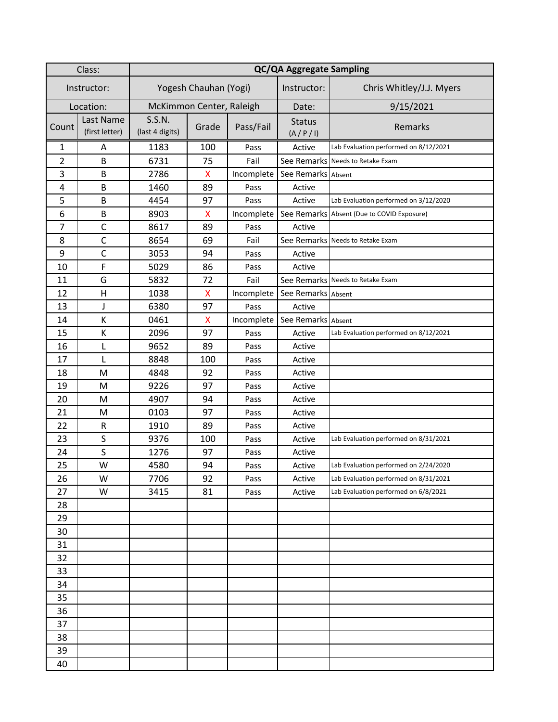| Class:         |                             | <b>QC/QA Aggregate Sampling</b> |       |            |                              |                                            |
|----------------|-----------------------------|---------------------------------|-------|------------|------------------------------|--------------------------------------------|
| Instructor:    |                             | Yogesh Chauhan (Yogi)           |       |            | Instructor:                  | Chris Whitley/J.J. Myers                   |
| Location:      |                             | McKimmon Center, Raleigh        |       |            | Date:                        | 9/15/2021                                  |
| Count          | Last Name<br>(first letter) | S.S.N.<br>(last 4 digits)       | Grade | Pass/Fail  | <b>Status</b><br>(A / P / I) | Remarks                                    |
| 1              | A                           | 1183                            | 100   | Pass       | Active                       | Lab Evaluation performed on 8/12/2021      |
| $\overline{2}$ | B                           | 6731                            | 75    | Fail       |                              | See Remarks Needs to Retake Exam           |
| 3              | B                           | 2786                            | X     | Incomplete | See Remarks Absent           |                                            |
| 4              | B                           | 1460                            | 89    | Pass       | Active                       |                                            |
| 5              | B                           | 4454                            | 97    | Pass       | Active                       | Lab Evaluation performed on 3/12/2020      |
| 6              | B                           | 8903                            | X     | Incomplete |                              | See Remarks Absent (Due to COVID Exposure) |
| $\overline{7}$ | $\mathsf{C}$                | 8617                            | 89    | Pass       | Active                       |                                            |
| 8              | $\mathsf{C}$                | 8654                            | 69    | Fail       |                              | See Remarks Needs to Retake Exam           |
| 9              | $\mathsf C$                 | 3053                            | 94    | Pass       | Active                       |                                            |
| 10             | F                           | 5029                            | 86    | Pass       | Active                       |                                            |
| 11             | G                           | 5832                            | 72    | Fail       |                              | See Remarks Needs to Retake Exam           |
| 12             | $\mathsf{H}$                | 1038                            | X     | Incomplete | See Remarks Absent           |                                            |
| 13             | J                           | 6380                            | 97    | Pass       | Active                       |                                            |
| 14             | К                           | 0461                            | x     | Incomplete | See Remarks Absent           |                                            |
| 15             | К                           | 2096                            | 97    | Pass       | Active                       | Lab Evaluation performed on 8/12/2021      |
| 16             | L                           | 9652                            | 89    | Pass       | Active                       |                                            |
| 17             | L                           | 8848                            | 100   | Pass       | Active                       |                                            |
| 18             | M                           | 4848                            | 92    | Pass       | Active                       |                                            |
| 19             | M                           | 9226                            | 97    | Pass       | Active                       |                                            |
| 20             | M                           | 4907                            | 94    | Pass       | Active                       |                                            |
| 21             | M                           | 0103                            | 97    | Pass       | Active                       |                                            |
| 22             | ${\sf R}$                   | 1910                            | 89    | Pass       | Active                       |                                            |
| 23             | S                           | 9376                            | 100   | Pass       | Active                       | Lab Evaluation performed on 8/31/2021      |
| 24             | S                           | 1276                            | 97    | Pass       | Active                       |                                            |
| 25             | W                           | 4580                            | 94    | Pass       | Active                       | Lab Evaluation performed on 2/24/2020      |
| 26             | W                           | 7706                            | 92    | Pass       | Active                       | Lab Evaluation performed on 8/31/2021      |
| 27             | W                           | 3415                            | 81    | Pass       | Active                       | Lab Evaluation performed on 6/8/2021       |
| 28             |                             |                                 |       |            |                              |                                            |
| 29             |                             |                                 |       |            |                              |                                            |
| 30             |                             |                                 |       |            |                              |                                            |
| 31             |                             |                                 |       |            |                              |                                            |
| 32             |                             |                                 |       |            |                              |                                            |
| 33             |                             |                                 |       |            |                              |                                            |
| 34             |                             |                                 |       |            |                              |                                            |
| 35             |                             |                                 |       |            |                              |                                            |
| 36             |                             |                                 |       |            |                              |                                            |
| 37             |                             |                                 |       |            |                              |                                            |
| 38             |                             |                                 |       |            |                              |                                            |
| 39             |                             |                                 |       |            |                              |                                            |
| 40             |                             |                                 |       |            |                              |                                            |